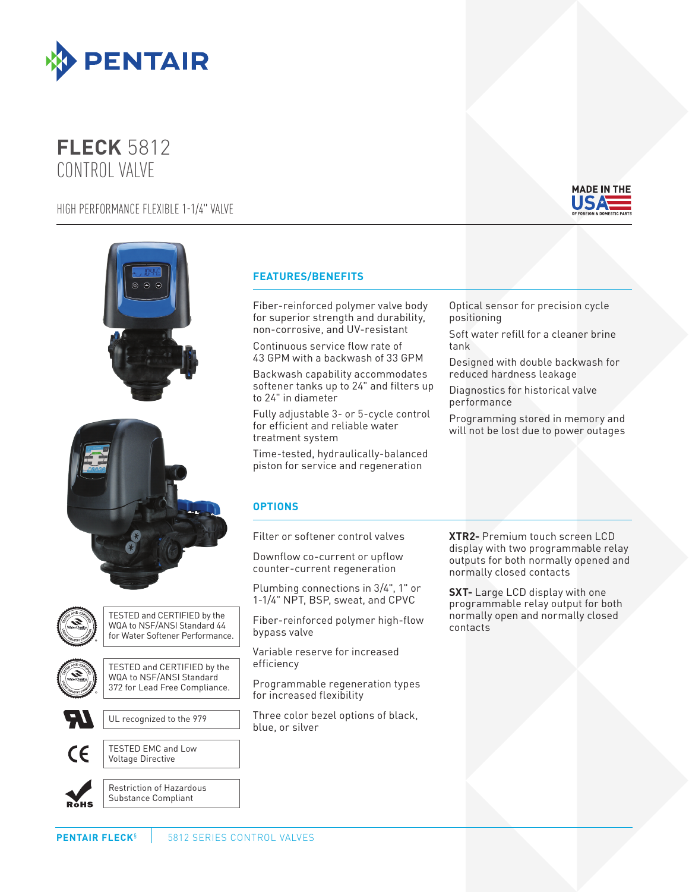

# **FLECK** 5812 CONTROL VALVE

## HIGH PERFORMANCE FLEXIBLE 1-1/4" VALVE









TESTED and CERTIFIED by the WQA to NSF/ANSI Standard 44 for Water Softener Performance.



TESTED and CERTIFIED by the WQA to NSF/ANSI Standard 372 for Lead Free Compliance.



UL recognized to the 979



TESTED EMC and Low Voltage Directive

**ROHS** 

Restriction of Hazardous Substance Compliant

## **FEATURES/BENEFITS**

Fiber-reinforced polymer valve body for superior strength and durability, non-corrosive, and UV-resistant

Continuous service flow rate of 43 GPM with a backwash of 33 GPM

Backwash capability accommodates softener tanks up to 24" and filters up to 24" in diameter

Fully adjustable 3- or 5-cycle control for efficient and reliable water treatment system

Time-tested, hydraulically-balanced piston for service and regeneration

**OPTIONS**

Filter or softener control valves

Downflow co-current or upflow counter-current regeneration

Plumbing connections in 3/4", 1" or 1-1/4" NPT, BSP, sweat, and CPVC

Fiber-reinforced polymer high-flow bypass valve

Variable reserve for increased efficiency

Programmable regeneration types for increased flexibility

Three color bezel options of black, blue, or silver

Optical sensor for precision cycle positioning Soft water refill for a cleaner brine

tank

Designed with double backwash for reduced hardness leakage

Diagnostics for historical valve performance

Programming stored in memory and will not be lost due to power outages

**XTR2-** Premium touch screen LCD display with two programmable relay outputs for both normally opened and normally closed contacts

**SXT-** Large LCD display with one programmable relay output for both normally open and normally closed contacts